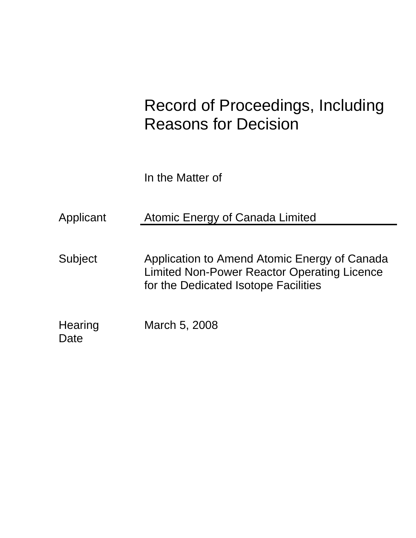# Record of Proceedings, Including Reasons for Decision

In the Matter of

Applicant Atomic Energy of Canada Limited

Subject Application to Amend Atomic Energy of Canada Limited Non-Power Reactor Operating Licence for the Dedicated Isotope Facilities

Hearing March 5, 2008 Date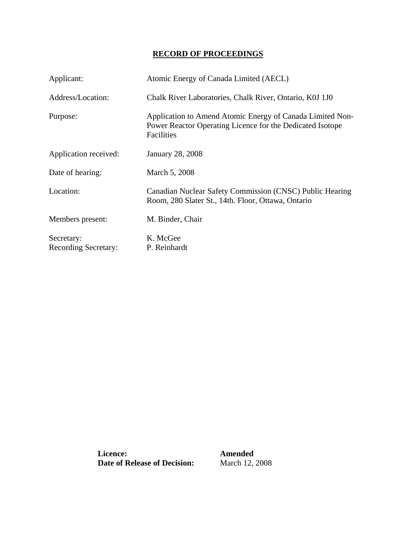## **RECORD OF PROCEEDINGS**

| Applicant:                                | Atomic Energy of Canada Limited (AECL)                                                                                               |
|-------------------------------------------|--------------------------------------------------------------------------------------------------------------------------------------|
| Address/Location:                         | Chalk River Laboratories, Chalk River, Ontario, K0J 1J0                                                                              |
| Purpose:                                  | Application to Amend Atomic Energy of Canada Limited Non-<br>Power Reactor Operating Licence for the Dedicated Isotope<br>Facilities |
| Application received:                     | <b>January 28, 2008</b>                                                                                                              |
| Date of hearing:                          | March 5, 2008                                                                                                                        |
| Location:                                 | Canadian Nuclear Safety Commission (CNSC) Public Hearing<br>Room, 280 Slater St., 14th. Floor, Ottawa, Ontario                       |
| Members present:                          | M. Binder, Chair                                                                                                                     |
| Secretary:<br><b>Recording Secretary:</b> | K. McGee<br>P. Reinhardt                                                                                                             |

 **Date of Release of Decision:** March 12, 2008 **Licence: Amended**<br>**Date of Release of Decision: March 12, 2008**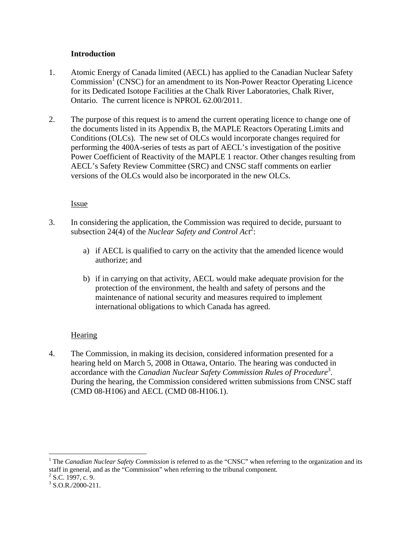## **Introduction**

- 1. Atomic Energy of Canada limited (AECL) has applied to the Canadian Nuclear Safety Commission<sup>1</sup> (CNSC) for an amendment to its Non-Power Reactor Operating Licence for its Dedicated Isotope Facilities at the Chalk River Laboratories, Chalk River, Ontario. The current licence is NPROL 62.00/2011.
- 2. The purpose of this request is to amend the current operating licence to change one of the documents listed in its Appendix B, the MAPLE Reactors Operating Limits and Conditions (OLCs). The new set of OLCs would incorporate changes required for performing the 400A-series of tests as part of AECL's investigation of the positive Power Coefficient of Reactivity of the MAPLE 1 reactor. Other changes resulting from AECL's Safety Review Committee (SRC) and CNSC staff comments on earlier versions of the OLCs would also be incorporated in the new OLCs.

## Issue

- 3. In considering the application, the Commission was required to decide, pursuant to subsection 24(4) of the *Nuclear Safety and Control Act*<sup>2</sup>:
	- a) if AECL is qualified to carry on the activity that the amended licence would authorize; and
	- b) if in carrying on that activity, AECL would make adequate provision for the protection of the environment, the health and safety of persons and the maintenance of national security and measures required to implement international obligations to which Canada has agreed.

## **Hearing**

4. The Commission, in making its decision, considered information presented for a hearing held on March 5, 2008 in Ottawa, Ontario. The hearing was conducted in accordance with the *Canadian Nuclear Safety Commission Rules of Procedure*<sup>3</sup> . During the hearing, the Commission considered written submissions from CNSC staff (CMD 08-H106) and AECL (CMD 08-H106.1).

 $\overline{a}$ 

<sup>&</sup>lt;sup>1</sup> The *Canadian Nuclear Safety Commission* is referred to as the "CNSC" when referring to the organization and its staff in general, and as the "Commission" when referring to the tribunal component.

 $^{2}$  S.C. 1997, c. 9.<br>  $^{3}$  S O B (2000, 211)

 $3$  S.O.R./2000-211.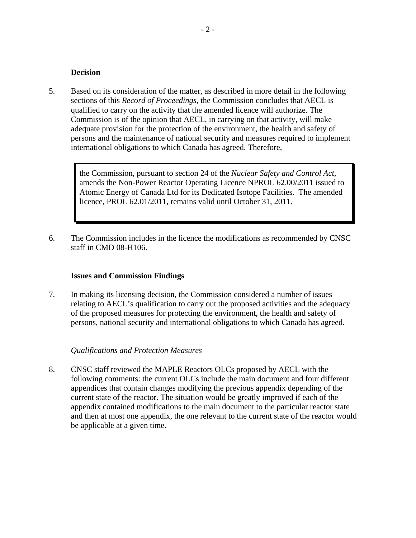#### **Decision**

5. Based on its consideration of the matter, as described in more detail in the following sections of this *Record of Proceedings*, the Commission concludes that AECL is qualified to carry on the activity that the amended licence will authorize. The Commission is of the opinion that AECL, in carrying on that activity, will make adequate provision for the protection of the environment, the health and safety of persons and the maintenance of national security and measures required to implement international obligations to which Canada has agreed. Therefore,

> the Commission, pursuant to section 24 of the *Nuclear Safety and Control Act*, amends the Non-Power Reactor Operating Licence NPROL 62.00/2011 issued to Atomic Energy of Canada Ltd for its Dedicated Isotope Facilities. The amended licence, PROL 62.01/2011, remains valid until October 31, 2011.

6. The Commission includes in the licence the modifications as recommended by CNSC staff in CMD 08-H106.

#### **Issues and Commission Findings**

7. In making its licensing decision, the Commission considered a number of issues relating to AECL's qualification to carry out the proposed activities and the adequacy of the proposed measures for protecting the environment, the health and safety of persons, national security and international obligations to which Canada has agreed.

#### *Qualifications and Protection Measures*

8. CNSC staff reviewed the MAPLE Reactors OLCs proposed by AECL with the following comments: the current OLCs include the main document and four different appendices that contain changes modifying the previous appendix depending of the current state of the reactor. The situation would be greatly improved if each of the appendix contained modifications to the main document to the particular reactor state and then at most one appendix, the one relevant to the current state of the reactor would be applicable at a given time.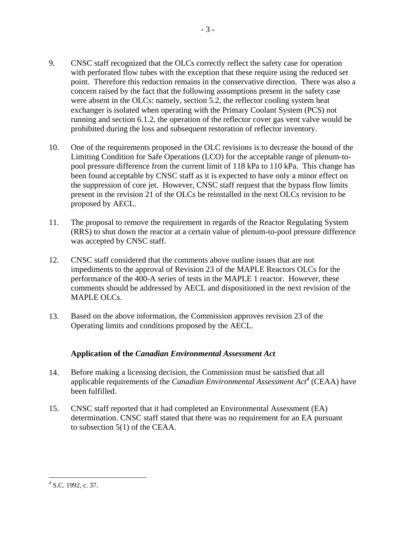- 9. CNSC staff recognized that the OLCs correctly reflect the safety case for operation with perforated flow tubes with the exception that these require using the reduced set point. Therefore this reduction remains in the conservative direction. There was also a concern raised by the fact that the following assumptions present in the safety case were absent in the OLCs: namely, section 5.2, the reflector cooling system heat exchanger is isolated when operating with the Primary Coolant System (PCS) not running and section 6.1.2, the operation of the reflector cover gas vent valve would be prohibited during the loss and subsequent restoration of reflector inventory.
- 10. One of the requirements proposed in the OLC revisions is to decrease the bound of the Limiting Condition for Safe Operations (LCO) for the acceptable range of plenum-topool pressure difference from the current limit of 118 kPa to 110 kPa. This change has been found acceptable by CNSC staff as it is expected to have only a minor effect on the suppression of core jet. However, CNSC staff request that the bypass flow limits present in the revision 21 of the OLCs be reinstalled in the next OLCs revision to be proposed by AECL.
- 11. The proposal to remove the requirement in regards of the Reactor Regulating System (RRS) to shut down the reactor at a certain value of plenum-to-pool pressure difference was accepted by CNSC staff.
- 12. CNSC staff considered that the comments above outline issues that are not impediments to the approval of Revision 23 of the MAPLE Reactors OLCs for the performance of the 400-A series of tests in the MAPLE 1 reactor. However, these comments should be addressed by AECL and dispositioned in the next revision of the MAPLE OLCs.
- 13. Based on the above information, the Commission approves revision 23 of the Operating limits and conditions proposed by the AECL.

## **Application of the** *Canadian Environmental Assessment Act*

- 14. Before making a licensing decision, the Commission must be satisfied that all applicable requirements of the *Canadian Environmental Assessment Act*4 (CEAA) have been fulfilled.
- 15. CNSC staff reported that it had completed an Environmental Assessment (EA) determination. CNSC staff stated that there was no requirement for an EA pursuant to subsection 5(1) of the CEAA.

 $\overline{a}$ <sup>4</sup> S.C. 1992, c. 37.